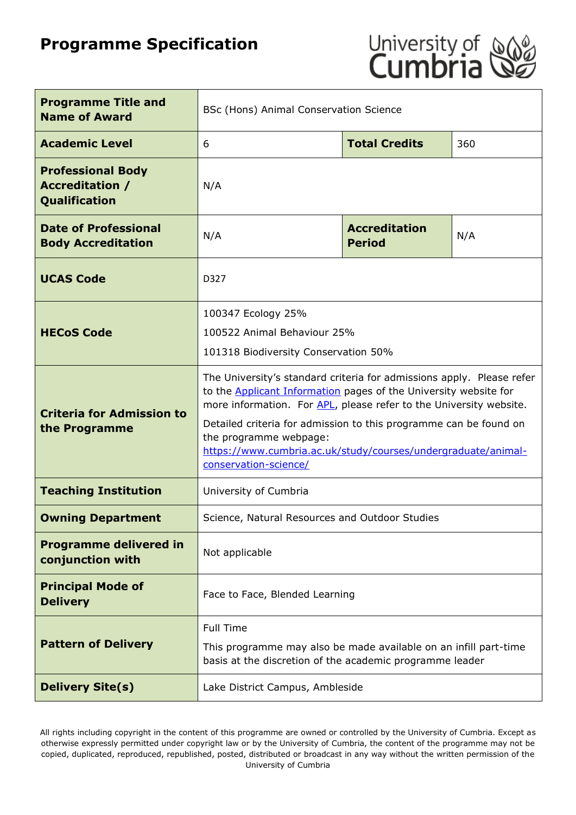# **Programme Specification**



| <b>Programme Title and</b><br><b>Name of Award</b>                         | BSc (Hons) Animal Conservation Science                                                                                                                                                                                                                                                                                                                                                                          |                      |     |  |
|----------------------------------------------------------------------------|-----------------------------------------------------------------------------------------------------------------------------------------------------------------------------------------------------------------------------------------------------------------------------------------------------------------------------------------------------------------------------------------------------------------|----------------------|-----|--|
| <b>Academic Level</b>                                                      | 6                                                                                                                                                                                                                                                                                                                                                                                                               | <b>Total Credits</b> | 360 |  |
| <b>Professional Body</b><br><b>Accreditation /</b><br><b>Qualification</b> | N/A                                                                                                                                                                                                                                                                                                                                                                                                             |                      |     |  |
| <b>Date of Professional</b><br><b>Body Accreditation</b>                   | <b>Accreditation</b><br>N/A<br>N/A<br><b>Period</b>                                                                                                                                                                                                                                                                                                                                                             |                      |     |  |
| <b>UCAS Code</b>                                                           | D327                                                                                                                                                                                                                                                                                                                                                                                                            |                      |     |  |
| <b>HECoS Code</b>                                                          | 100347 Ecology 25%<br>100522 Animal Behaviour 25%<br>101318 Biodiversity Conservation 50%                                                                                                                                                                                                                                                                                                                       |                      |     |  |
| <b>Criteria for Admission to</b><br>the Programme                          | The University's standard criteria for admissions apply. Please refer<br>to the <b>Applicant Information</b> pages of the University website for<br>more information. For APL, please refer to the University website.<br>Detailed criteria for admission to this programme can be found on<br>the programme webpage:<br>https://www.cumbria.ac.uk/study/courses/undergraduate/animal-<br>conservation-science/ |                      |     |  |
| <b>Teaching Institution</b>                                                | University of Cumbria                                                                                                                                                                                                                                                                                                                                                                                           |                      |     |  |
| <b>Owning Department</b>                                                   | Science, Natural Resources and Outdoor Studies                                                                                                                                                                                                                                                                                                                                                                  |                      |     |  |
| <b>Programme delivered in</b><br>conjunction with                          | Not applicable                                                                                                                                                                                                                                                                                                                                                                                                  |                      |     |  |
| <b>Principal Mode of</b><br><b>Delivery</b>                                | Face to Face, Blended Learning                                                                                                                                                                                                                                                                                                                                                                                  |                      |     |  |
| <b>Pattern of Delivery</b>                                                 | <b>Full Time</b><br>This programme may also be made available on an infill part-time<br>basis at the discretion of the academic programme leader                                                                                                                                                                                                                                                                |                      |     |  |
| <b>Delivery Site(s)</b>                                                    | Lake District Campus, Ambleside                                                                                                                                                                                                                                                                                                                                                                                 |                      |     |  |

All rights including copyright in the content of this programme are owned or controlled by the University of Cumbria. Except as otherwise expressly permitted under copyright law or by the University of Cumbria, the content of the programme may not be copied, duplicated, reproduced, republished, posted, distributed or broadcast in any way without the written permission of the University of Cumbria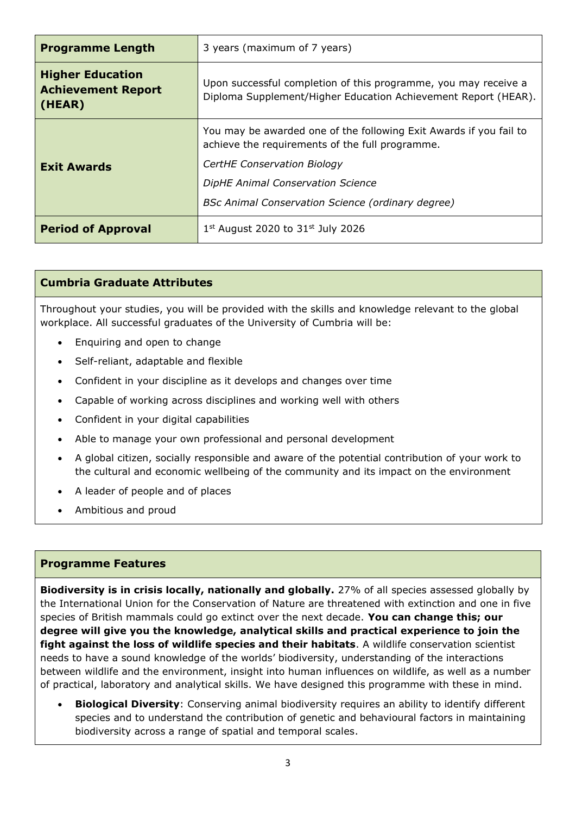| <b>Programme Length</b>                                        | 3 years (maximum of 7 years)                                                                                                      |  |  |
|----------------------------------------------------------------|-----------------------------------------------------------------------------------------------------------------------------------|--|--|
| <b>Higher Education</b><br><b>Achievement Report</b><br>(HEAR) | Upon successful completion of this programme, you may receive a<br>Diploma Supplement/Higher Education Achievement Report (HEAR). |  |  |
|                                                                | You may be awarded one of the following Exit Awards if you fail to<br>achieve the requirements of the full programme.             |  |  |
| <b>Exit Awards</b>                                             | CertHE Conservation Biology                                                                                                       |  |  |
|                                                                | DipHE Animal Conservation Science                                                                                                 |  |  |
|                                                                | <b>BSc Animal Conservation Science (ordinary degree)</b>                                                                          |  |  |
| <b>Period of Approval</b>                                      | $1st$ August 2020 to 31 $st$ July 2026                                                                                            |  |  |

#### **Cumbria Graduate Attributes**

Throughout your studies, you will be provided with the skills and knowledge relevant to the global workplace. All successful graduates of the University of Cumbria will be:

- Enquiring and open to change
- Self-reliant, adaptable and flexible
- Confident in your discipline as it develops and changes over time
- Capable of working across disciplines and working well with others
- Confident in your digital capabilities
- Able to manage your own professional and personal development
- A global citizen, socially responsible and aware of the potential contribution of your work to the cultural and economic wellbeing of the community and its impact on the environment
- A leader of people and of places
- Ambitious and proud

#### **Programme Features**

**Biodiversity is in crisis locally, nationally and globally.** 27% of all species assessed globally by the International Union for the Conservation of Nature are threatened with extinction and one in five species of British mammals could go extinct over the next decade. **You can change this; our degree will give you the knowledge, analytical skills and practical experience to join the fight against the loss of wildlife species and their habitats**. A wildlife conservation scientist needs to have a sound knowledge of the worlds' biodiversity, understanding of the interactions between wildlife and the environment, insight into human influences on wildlife, as well as a number of practical, laboratory and analytical skills. We have designed this programme with these in mind.

• **Biological Diversity**: Conserving animal biodiversity requires an ability to identify different species and to understand the contribution of genetic and behavioural factors in maintaining biodiversity across a range of spatial and temporal scales.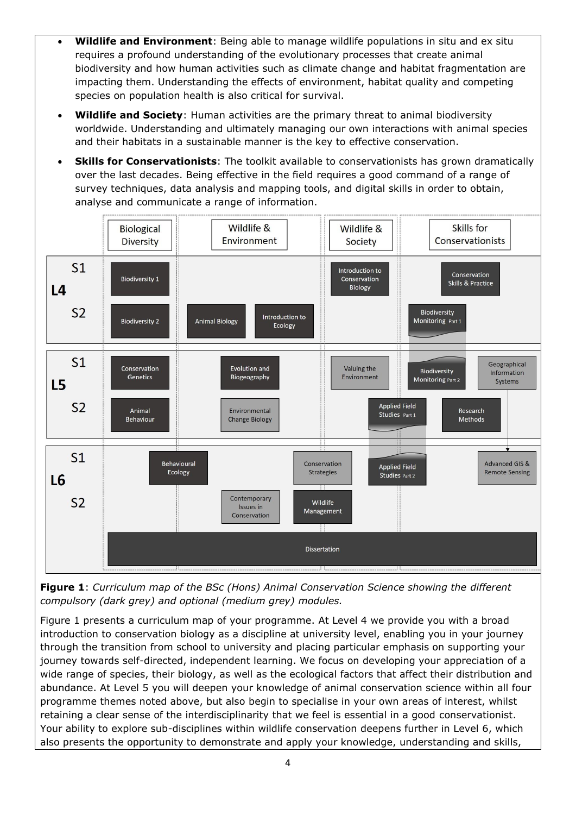- **Wildlife and Environment**: Being able to manage wildlife populations in situ and ex situ requires a profound understanding of the evolutionary processes that create animal biodiversity and how human activities such as climate change and habitat fragmentation are impacting them. Understanding the effects of environment, habitat quality and competing species on population health is also critical for survival.
- **Wildlife and Society**: Human activities are the primary threat to animal biodiversity worldwide. Understanding and ultimately managing our own interactions with animal species and their habitats in a sustainable manner is the key to effective conservation.
- **Skills for Conservationists**: The toolkit available to conservationists has grown dramatically over the last decades. Being effective in the field requires a good command of a range of survey techniques, data analysis and mapping tools, and digital skills in order to obtain, analyse and communicate a range of information.



**Figure 1**: *Curriculum map of the BSc (Hons) Animal Conservation Science showing the different compulsory (dark grey) and optional (medium grey) modules.*

Figure 1 presents a curriculum map of your programme. At Level 4 we provide you with a broad introduction to conservation biology as a discipline at university level, enabling you in your journey through the transition from school to university and placing particular emphasis on supporting your journey towards self-directed, independent learning. We focus on developing your appreciation of a wide range of species, their biology, as well as the ecological factors that affect their distribution and abundance. At Level 5 you will deepen your knowledge of animal conservation science within all four programme themes noted above, but also begin to specialise in your own areas of interest, whilst retaining a clear sense of the interdisciplinarity that we feel is essential in a good conservationist. Your ability to explore sub-disciplines within wildlife conservation deepens further in Level 6, which also presents the opportunity to demonstrate and apply your knowledge, understanding and skills,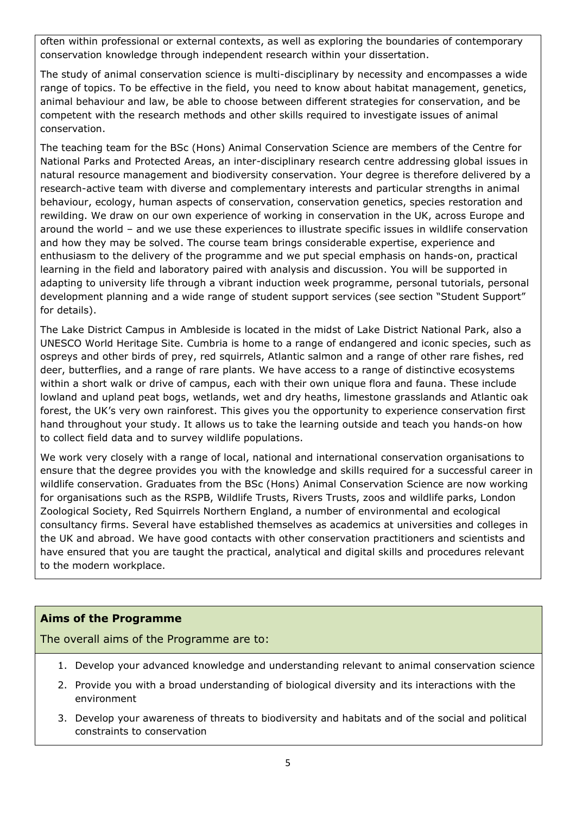often within professional or external contexts, as well as exploring the boundaries of contemporary conservation knowledge through independent research within your dissertation.

The study of animal conservation science is multi-disciplinary by necessity and encompasses a wide range of topics. To be effective in the field, you need to know about habitat management, genetics, animal behaviour and law, be able to choose between different strategies for conservation, and be competent with the research methods and other skills required to investigate issues of animal conservation.

The teaching team for the BSc (Hons) Animal Conservation Science are members of the Centre for National Parks and Protected Areas, an inter-disciplinary research centre addressing global issues in natural resource management and biodiversity conservation. Your degree is therefore delivered by a research-active team with diverse and complementary interests and particular strengths in animal behaviour, ecology, human aspects of conservation, conservation genetics, species restoration and rewilding. We draw on our own experience of working in conservation in the UK, across Europe and around the world – and we use these experiences to illustrate specific issues in wildlife conservation and how they may be solved. The course team brings considerable expertise, experience and enthusiasm to the delivery of the programme and we put special emphasis on hands-on, practical learning in the field and laboratory paired with analysis and discussion. You will be supported in adapting to university life through a vibrant induction week programme, personal tutorials, personal development planning and a wide range of student support services (see section "Student Support" for details).

The Lake District Campus in Ambleside is located in the midst of Lake District National Park, also a UNESCO World Heritage Site. Cumbria is home to a range of endangered and iconic species, such as ospreys and other birds of prey, red squirrels, Atlantic salmon and a range of other rare fishes, red deer, butterflies, and a range of rare plants. We have access to a range of distinctive ecosystems within a short walk or drive of campus, each with their own unique flora and fauna. These include lowland and upland peat bogs, wetlands, wet and dry heaths, limestone grasslands and Atlantic oak forest, the UK's very own rainforest. This gives you the opportunity to experience conservation first hand throughout your study. It allows us to take the learning outside and teach you hands-on how to collect field data and to survey wildlife populations.

We work very closely with a range of local, national and international conservation organisations to ensure that the degree provides you with the knowledge and skills required for a successful career in wildlife conservation. Graduates from the BSc (Hons) Animal Conservation Science are now working for organisations such as the RSPB, Wildlife Trusts, Rivers Trusts, zoos and wildlife parks, London Zoological Society, Red Squirrels Northern England, a number of environmental and ecological consultancy firms. Several have established themselves as academics at universities and colleges in the UK and abroad. We have good contacts with other conservation practitioners and scientists and have ensured that you are taught the practical, analytical and digital skills and procedures relevant to the modern workplace.

# **Aims of the Programme**

The overall aims of the Programme are to:

- 1. Develop your advanced knowledge and understanding relevant to animal conservation science
- 2. Provide you with a broad understanding of biological diversity and its interactions with the environment
- 3. Develop your awareness of threats to biodiversity and habitats and of the social and political constraints to conservation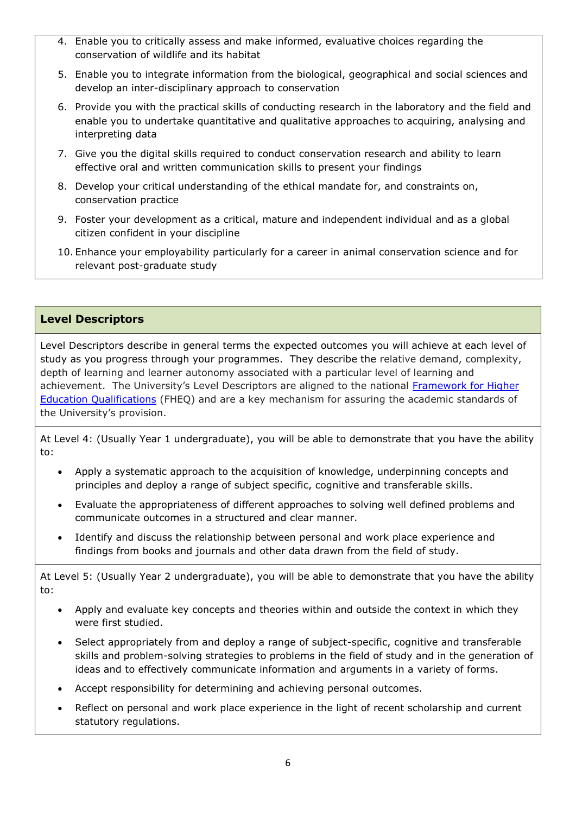- 4. Enable you to critically assess and make informed, evaluative choices regarding the conservation of wildlife and its habitat
- 5. Enable you to integrate information from the biological, geographical and social sciences and develop an inter-disciplinary approach to conservation
- 6. Provide you with the practical skills of conducting research in the laboratory and the field and enable you to undertake quantitative and qualitative approaches to acquiring, analysing and interpreting data
- 7. Give you the digital skills required to conduct conservation research and ability to learn effective oral and written communication skills to present your findings
- 8. Develop your critical understanding of the ethical mandate for, and constraints on, conservation practice
- 9. Foster your development as a critical, mature and independent individual and as a global citizen confident in your discipline
- 10. Enhance your employability particularly for a career in animal conservation science and for relevant post-graduate study

#### **Level Descriptors**

Level Descriptors describe in general terms the expected outcomes you will achieve at each level of study as you progress through your programmes. They describe the relative demand, complexity, depth of learning and learner autonomy associated with a particular level of learning and achievement. The University's Level Descriptors are aligned to the national Framework for Higher [Education Qualifications](http://www.qaa.ac.uk/en/Publications/Documents/qualifications-frameworks.pdf) (FHEQ) and are a key mechanism for assuring the academic standards of the University's provision.

At Level 4: (Usually Year 1 undergraduate), you will be able to demonstrate that you have the ability to:

- Apply a systematic approach to the acquisition of knowledge, underpinning concepts and principles and deploy a range of subject specific, cognitive and transferable skills.
- Evaluate the appropriateness of different approaches to solving well defined problems and communicate outcomes in a structured and clear manner.
- Identify and discuss the relationship between personal and work place experience and findings from books and journals and other data drawn from the field of study.

At Level 5: (Usually Year 2 undergraduate), you will be able to demonstrate that you have the ability to:

- Apply and evaluate key concepts and theories within and outside the context in which they were first studied.
- Select appropriately from and deploy a range of subject-specific, cognitive and transferable skills and problem-solving strategies to problems in the field of study and in the generation of ideas and to effectively communicate information and arguments in a variety of forms.
- Accept responsibility for determining and achieving personal outcomes.
- Reflect on personal and work place experience in the light of recent scholarship and current statutory regulations.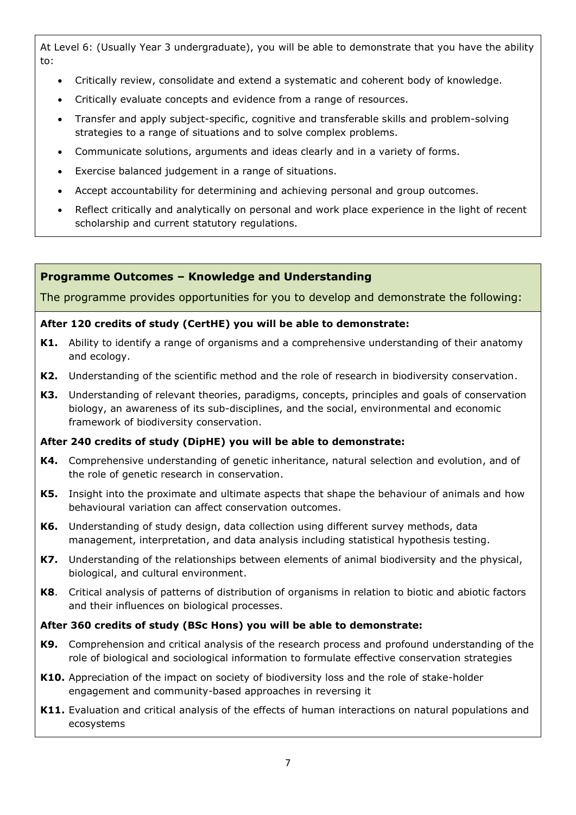At Level 6: (Usually Year 3 undergraduate), you will be able to demonstrate that you have the ability to:

- Critically review, consolidate and extend a systematic and coherent body of knowledge.
- Critically evaluate concepts and evidence from a range of resources.
- Transfer and apply subject-specific, cognitive and transferable skills and problem-solving strategies to a range of situations and to solve complex problems.
- Communicate solutions, arguments and ideas clearly and in a variety of forms.
- Exercise balanced judgement in a range of situations.
- Accept accountability for determining and achieving personal and group outcomes.
- Reflect critically and analytically on personal and work place experience in the light of recent scholarship and current statutory regulations.

#### **Programme Outcomes – Knowledge and Understanding**

The programme provides opportunities for you to develop and demonstrate the following:

#### **After 120 credits of study (CertHE) you will be able to demonstrate:**

- **K1.** Ability to identify a range of organisms and a comprehensive understanding of their anatomy and ecology.
- **K2.** Understanding of the scientific method and the role of research in biodiversity conservation.
- **K3.** Understanding of relevant theories, paradigms, concepts, principles and goals of conservation biology, an awareness of its sub-disciplines, and the social, environmental and economic framework of biodiversity conservation.

#### **After 240 credits of study (DipHE) you will be able to demonstrate:**

- **K4.** Comprehensive understanding of genetic inheritance, natural selection and evolution, and of the role of genetic research in conservation.
- **K5.** Insight into the proximate and ultimate aspects that shape the behaviour of animals and how behavioural variation can affect conservation outcomes.
- **K6.** Understanding of study design, data collection using different survey methods, data management, interpretation, and data analysis including statistical hypothesis testing.
- **K7.** Understanding of the relationships between elements of animal biodiversity and the physical, biological, and cultural environment.
- **K8**. Critical analysis of patterns of distribution of organisms in relation to biotic and abiotic factors and their influences on biological processes.

#### **After 360 credits of study (BSc Hons) you will be able to demonstrate:**

- **K9.** Comprehension and critical analysis of the research process and profound understanding of the role of biological and sociological information to formulate effective conservation strategies
- **K10.** Appreciation of the impact on society of biodiversity loss and the role of stake-holder engagement and community-based approaches in reversing it
- **K11.** Evaluation and critical analysis of the effects of human interactions on natural populations and ecosystems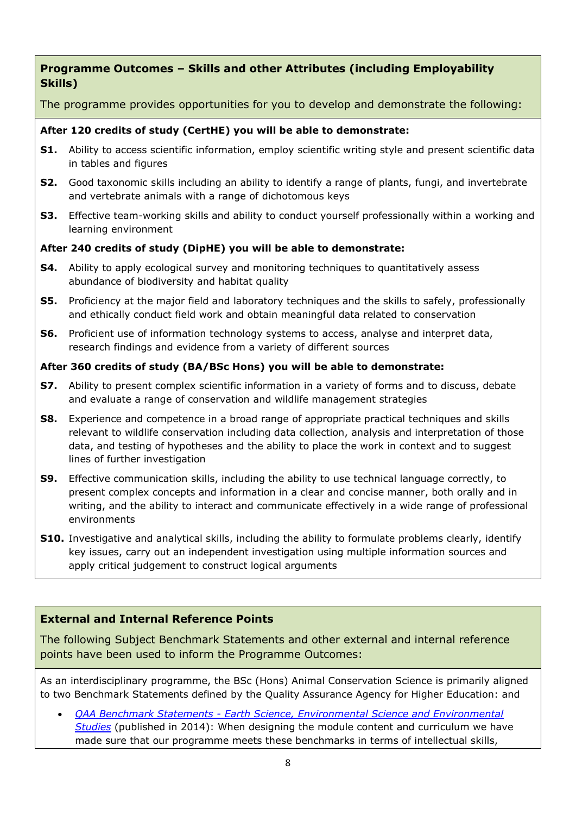# **Programme Outcomes – Skills and other Attributes (including Employability Skills)**

The programme provides opportunities for you to develop and demonstrate the following:

## **After 120 credits of study (CertHE) you will be able to demonstrate:**

- **S1.** Ability to access scientific information, employ scientific writing style and present scientific data in tables and figures
- **S2.** Good taxonomic skills including an ability to identify a range of plants, fungi, and invertebrate and vertebrate animals with a range of dichotomous keys
- **S3.** Effective team-working skills and ability to conduct yourself professionally within a working and learning environment

## **After 240 credits of study (DipHE) you will be able to demonstrate:**

- **S4.** Ability to apply ecological survey and monitoring techniques to quantitatively assess abundance of biodiversity and habitat quality
- **S5.** Proficiency at the major field and laboratory techniques and the skills to safely, professionally and ethically conduct field work and obtain meaningful data related to conservation
- **S6.** Proficient use of information technology systems to access, analyse and interpret data, research findings and evidence from a variety of different sources

## **After 360 credits of study (BA/BSc Hons) you will be able to demonstrate:**

- **S7.** Ability to present complex scientific information in a variety of forms and to discuss, debate and evaluate a range of conservation and wildlife management strategies
- **S8.** Experience and competence in a broad range of appropriate practical techniques and skills relevant to wildlife conservation including data collection, analysis and interpretation of those data, and testing of hypotheses and the ability to place the work in context and to suggest lines of further investigation
- **S9.** Effective communication skills, including the ability to use technical language correctly, to present complex concepts and information in a clear and concise manner, both orally and in writing, and the ability to interact and communicate effectively in a wide range of professional environments
- **S10.** Investigative and analytical skills, including the ability to formulate problems clearly, identify key issues, carry out an independent investigation using multiple information sources and apply critical judgement to construct logical arguments

# **External and Internal Reference Points**

The following Subject Benchmark Statements and other external and internal reference points have been used to inform the Programme Outcomes:

As an interdisciplinary programme, the BSc (Hons) Animal Conservation Science is primarily aligned to two Benchmark Statements defined by the Quality Assurance Agency for Higher Education: and

• *QAA Benchmark Statements - [Earth Science, Environmental Science and Environmental](https://www.qaa.ac.uk/docs/qaa/subject-benchmark-statements/sbs-earth-sciences-14.pdf?sfvrsn=b0e3f781_10)  [Studies](https://www.qaa.ac.uk/docs/qaa/subject-benchmark-statements/sbs-earth-sciences-14.pdf?sfvrsn=b0e3f781_10)* (published in 2014): When designing the module content and curriculum we have made sure that our programme meets these benchmarks in terms of intellectual skills,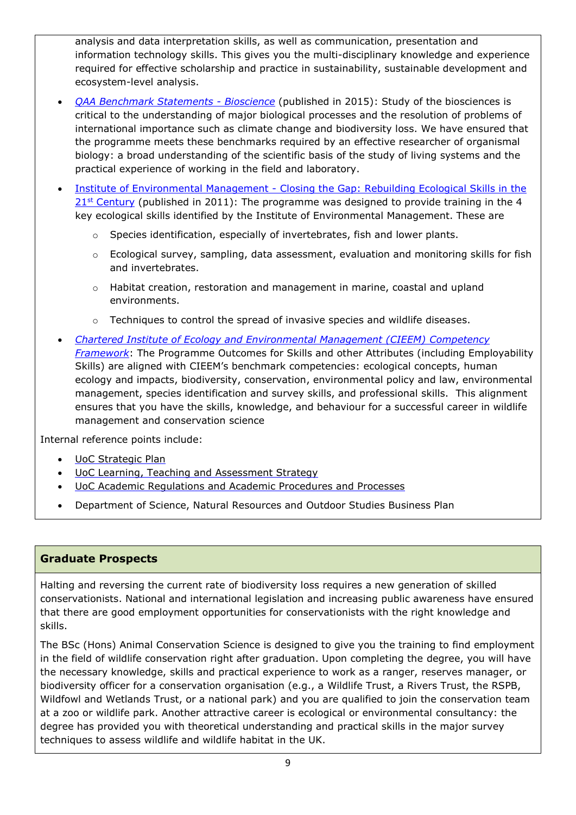analysis and data interpretation skills, as well as communication, presentation and information technology skills. This gives you the multi-disciplinary knowledge and experience required for effective scholarship and practice in sustainability, sustainable development and ecosystem-level analysis.

- *[QAA Benchmark Statements -](https://www.qaa.ac.uk/docs/qaa/subject-benchmark-statements/sbs-biosciences-15.pdf?sfvrsn=4eef781_26) Bioscience* (published in 2015): Study of the biosciences is critical to the understanding of major biological processes and the resolution of problems of international importance such as climate change and biodiversity loss. We have ensured that the programme meets these benchmarks required by an effective researcher of organismal biology: a broad understanding of the scientific basis of the study of living systems and the practical experience of working in the field and laboratory.
- Institute of Environmental Management Closing the Gap: Rebuilding Ecological Skills in the  $21<sup>st</sup>$  [Century](http://www.cieem.net/data/resources/36/Education-Closing_The_Gap_Report.pdf) (published in 2011): The programme was designed to provide training in the 4 key ecological skills identified by the Institute of Environmental Management. These are
	- $\circ$  Species identification, especially of invertebrates, fish and lower plants.
	- $\circ$  Ecological survey, sampling, data assessment, evaluation and monitoring skills for fish and invertebrates.
	- o Habitat creation, restoration and management in marine, coastal and upland environments.
	- $\circ$  Techniques to control the spread of invasive species and wildlife diseases.
- *[Chartered Institute of Ecology and Environmental Management \(CIEEM\)](https://cieem.net/resource/competency-framework-high-res/) Competency [Framework](https://cieem.net/resource/competency-framework-high-res/)*: The Programme Outcomes for Skills and other Attributes (including Employability Skills) are aligned with CIEEM's benchmark competencies: ecological concepts, human ecology and impacts, biodiversity, conservation, environmental policy and law, environmental management, species identification and survey skills, and professional skills. This alignment ensures that you have the skills, knowledge, and behaviour for a successful career in wildlife management and conservation science

Internal reference points include:

- [UoC Strategic Plan](https://www.cumbria.ac.uk/about/publications/strategic-plan/)
- [UoC Learning, Teaching and Assessment Strategy](https://www.cumbria.ac.uk/media/university-of-cumbria-website/content-assets/public/aqs/documents/LearningTeachingAssessmentStrategy.pdf)
- [UoC Academic Regulations and Academic Procedures and Processes](https://www.cumbria.ac.uk/about/organisation/professional-services/academic-quality-and-development/academic-regulations/)
- Department of Science, Natural Resources and Outdoor Studies Business Plan

# **Graduate Prospects**

Halting and reversing the current rate of biodiversity loss requires a new generation of skilled conservationists. National and international legislation and increasing public awareness have ensured that there are good employment opportunities for conservationists with the right knowledge and skills.

The BSc (Hons) Animal Conservation Science is designed to give you the training to find employment in the field of wildlife conservation right after graduation. Upon completing the degree, you will have the necessary knowledge, skills and practical experience to work as a ranger, reserves manager, or biodiversity officer for a conservation organisation (e.g., a Wildlife Trust, a Rivers Trust, the RSPB, Wildfowl and Wetlands Trust, or a national park) and you are qualified to join the conservation team at a zoo or wildlife park. Another attractive career is ecological or environmental consultancy: the degree has provided you with theoretical understanding and practical skills in the major survey techniques to assess wildlife and wildlife habitat in the UK.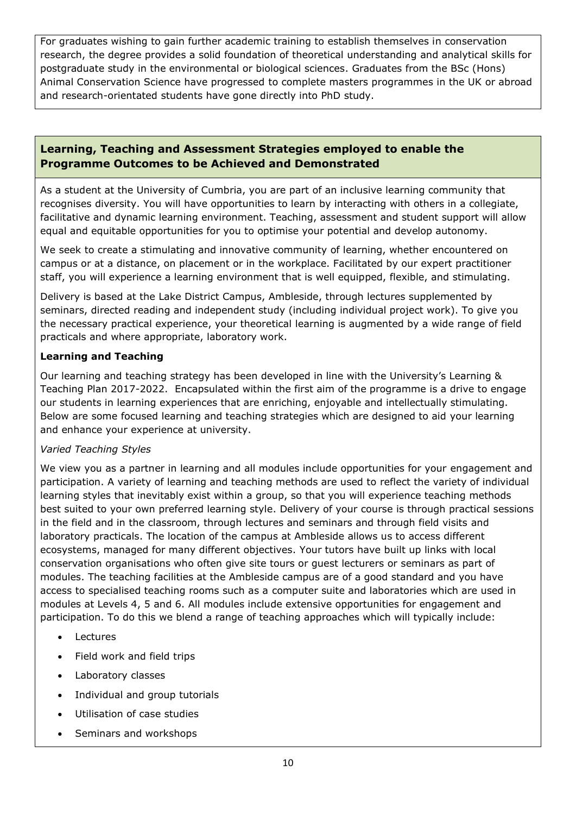For graduates wishing to gain further academic training to establish themselves in conservation research, the degree provides a solid foundation of theoretical understanding and analytical skills for postgraduate study in the environmental or biological sciences. Graduates from the BSc (Hons) Animal Conservation Science have progressed to complete masters programmes in the UK or abroad and research-orientated students have gone directly into PhD study.

## **Learning, Teaching and Assessment Strategies employed to enable the Programme Outcomes to be Achieved and Demonstrated**

As a student at the University of Cumbria, you are part of an inclusive learning community that recognises diversity. You will have opportunities to learn by interacting with others in a collegiate, facilitative and dynamic learning environment. Teaching, assessment and student support will allow equal and equitable opportunities for you to optimise your potential and develop autonomy.

We seek to create a stimulating and innovative community of learning, whether encountered on campus or at a distance, on placement or in the workplace. Facilitated by our expert practitioner staff, you will experience a learning environment that is well equipped, flexible, and stimulating.

Delivery is based at the Lake District Campus, Ambleside, through lectures supplemented by seminars, directed reading and independent study (including individual project work). To give you the necessary practical experience, your theoretical learning is augmented by a wide range of field practicals and where appropriate, laboratory work.

#### **Learning and Teaching**

Our learning and teaching strategy has been developed in line with the University's Learning & Teaching Plan 2017-2022. Encapsulated within the first aim of the programme is a drive to engage our students in learning experiences that are enriching, enjoyable and intellectually stimulating. Below are some focused learning and teaching strategies which are designed to aid your learning and enhance your experience at university.

#### *Varied Teaching Styles*

We view you as a partner in learning and all modules include opportunities for your engagement and participation. A variety of learning and teaching methods are used to reflect the variety of individual learning styles that inevitably exist within a group, so that you will experience teaching methods best suited to your own preferred learning style. Delivery of your course is through practical sessions in the field and in the classroom, through lectures and seminars and through field visits and laboratory practicals. The location of the campus at Ambleside allows us to access different ecosystems, managed for many different objectives. Your tutors have built up links with local conservation organisations who often give site tours or guest lecturers or seminars as part of modules. The teaching facilities at the Ambleside campus are of a good standard and you have access to specialised teaching rooms such as a computer suite and laboratories which are used in modules at Levels 4, 5 and 6. All modules include extensive opportunities for engagement and participation. To do this we blend a range of teaching approaches which will typically include:

- Lectures
- Field work and field trips
- Laboratory classes
- Individual and group tutorials
- Utilisation of case studies
- Seminars and workshops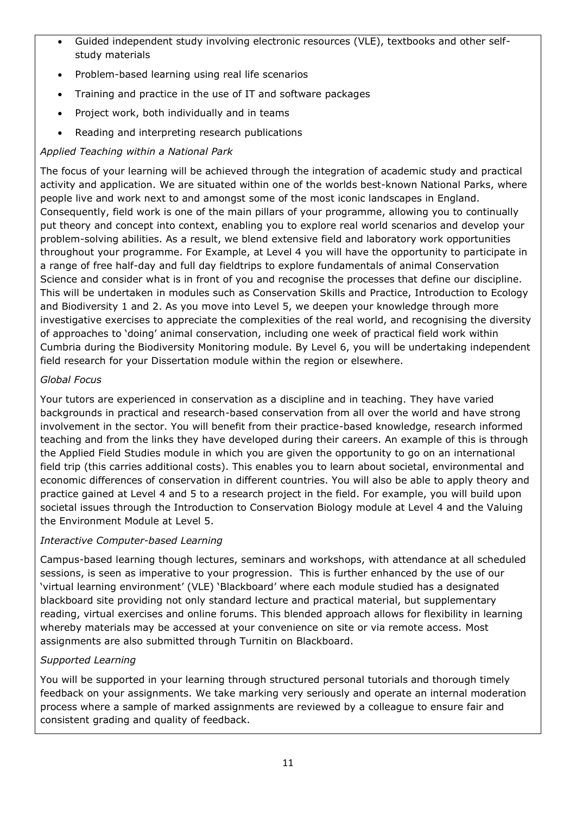- Guided independent study involving electronic resources (VLE), textbooks and other selfstudy materials
- Problem-based learning using real life scenarios
- Training and practice in the use of IT and software packages
- Project work, both individually and in teams
- Reading and interpreting research publications

## *Applied Teaching within a National Park*

The focus of your learning will be achieved through the integration of academic study and practical activity and application. We are situated within one of the worlds best-known National Parks, where people live and work next to and amongst some of the most iconic landscapes in England. Consequently, field work is one of the main pillars of your programme, allowing you to continually put theory and concept into context, enabling you to explore real world scenarios and develop your problem-solving abilities. As a result, we blend extensive field and laboratory work opportunities throughout your programme. For Example, at Level 4 you will have the opportunity to participate in a range of free half-day and full day fieldtrips to explore fundamentals of animal Conservation Science and consider what is in front of you and recognise the processes that define our discipline. This will be undertaken in modules such as Conservation Skills and Practice, Introduction to Ecology and Biodiversity 1 and 2. As you move into Level 5, we deepen your knowledge through more investigative exercises to appreciate the complexities of the real world, and recognising the diversity of approaches to 'doing' animal conservation, including one week of practical field work within Cumbria during the Biodiversity Monitoring module. By Level 6, you will be undertaking independent field research for your Dissertation module within the region or elsewhere.

#### *Global Focus*

Your tutors are experienced in conservation as a discipline and in teaching. They have varied backgrounds in practical and research-based conservation from all over the world and have strong involvement in the sector. You will benefit from their practice-based knowledge, research informed teaching and from the links they have developed during their careers. An example of this is through the Applied Field Studies module in which you are given the opportunity to go on an international field trip (this carries additional costs). This enables you to learn about societal, environmental and economic differences of conservation in different countries. You will also be able to apply theory and practice gained at Level 4 and 5 to a research project in the field. For example, you will build upon societal issues through the Introduction to Conservation Biology module at Level 4 and the Valuing the Environment Module at Level 5.

#### *Interactive Computer-based Learning*

Campus-based learning though lectures, seminars and workshops, with attendance at all scheduled sessions, is seen as imperative to your progression. This is further enhanced by the use of our 'virtual learning environment' (VLE) 'Blackboard' where each module studied has a designated blackboard site providing not only standard lecture and practical material, but supplementary reading, virtual exercises and online forums. This blended approach allows for flexibility in learning whereby materials may be accessed at your convenience on site or via remote access. Most assignments are also submitted through Turnitin on Blackboard.

#### *Supported Learning*

You will be supported in your learning through structured personal tutorials and thorough timely feedback on your assignments. We take marking very seriously and operate an internal moderation process where a sample of marked assignments are reviewed by a colleague to ensure fair and consistent grading and quality of feedback.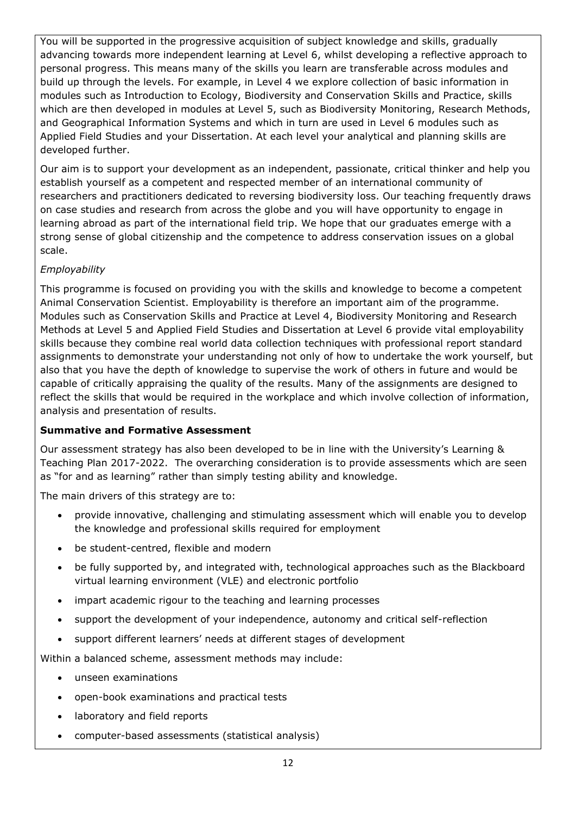You will be supported in the progressive acquisition of subject knowledge and skills, gradually advancing towards more independent learning at Level 6, whilst developing a reflective approach to personal progress. This means many of the skills you learn are transferable across modules and build up through the levels. For example, in Level 4 we explore collection of basic information in modules such as Introduction to Ecology, Biodiversity and Conservation Skills and Practice, skills which are then developed in modules at Level 5, such as Biodiversity Monitoring, Research Methods, and Geographical Information Systems and which in turn are used in Level 6 modules such as Applied Field Studies and your Dissertation. At each level your analytical and planning skills are developed further.

Our aim is to support your development as an independent, passionate, critical thinker and help you establish yourself as a competent and respected member of an international community of researchers and practitioners dedicated to reversing biodiversity loss. Our teaching frequently draws on case studies and research from across the globe and you will have opportunity to engage in learning abroad as part of the international field trip. We hope that our graduates emerge with a strong sense of global citizenship and the competence to address conservation issues on a global scale.

## *Employability*

This programme is focused on providing you with the skills and knowledge to become a competent Animal Conservation Scientist. Employability is therefore an important aim of the programme. Modules such as Conservation Skills and Practice at Level 4, Biodiversity Monitoring and Research Methods at Level 5 and Applied Field Studies and Dissertation at Level 6 provide vital employability skills because they combine real world data collection techniques with professional report standard assignments to demonstrate your understanding not only of how to undertake the work yourself, but also that you have the depth of knowledge to supervise the work of others in future and would be capable of critically appraising the quality of the results. Many of the assignments are designed to reflect the skills that would be required in the workplace and which involve collection of information, analysis and presentation of results.

#### **Summative and Formative Assessment**

Our assessment strategy has also been developed to be in line with the University's Learning & Teaching Plan 2017-2022. The overarching consideration is to provide assessments which are seen as "for and as learning" rather than simply testing ability and knowledge.

The main drivers of this strategy are to:

- provide innovative, challenging and stimulating assessment which will enable you to develop the knowledge and professional skills required for employment
- be student-centred, flexible and modern
- be fully supported by, and integrated with, technological approaches such as the Blackboard virtual learning environment (VLE) and electronic portfolio
- impart academic rigour to the teaching and learning processes
- support the development of your independence, autonomy and critical self-reflection
- support different learners' needs at different stages of development

Within a balanced scheme, assessment methods may include:

- unseen examinations
- open-book examinations and practical tests
- laboratory and field reports
- computer-based assessments (statistical analysis)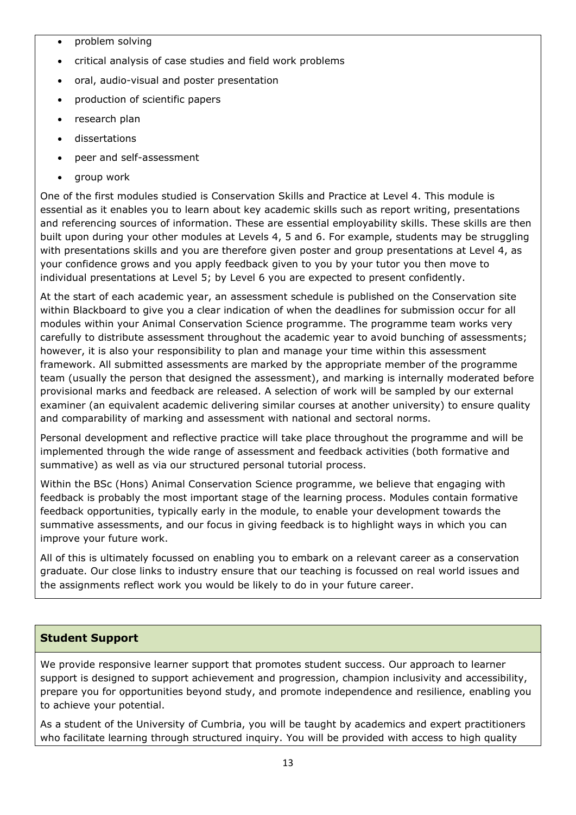- problem solving
- critical analysis of case studies and field work problems
- oral, audio-visual and poster presentation
- production of scientific papers
- research plan
- dissertations
- peer and self-assessment
- group work

One of the first modules studied is Conservation Skills and Practice at Level 4. This module is essential as it enables you to learn about key academic skills such as report writing, presentations and referencing sources of information. These are essential employability skills. These skills are then built upon during your other modules at Levels 4, 5 and 6. For example, students may be struggling with presentations skills and you are therefore given poster and group presentations at Level 4, as your confidence grows and you apply feedback given to you by your tutor you then move to individual presentations at Level 5; by Level 6 you are expected to present confidently.

At the start of each academic year, an assessment schedule is published on the Conservation site within Blackboard to give you a clear indication of when the deadlines for submission occur for all modules within your Animal Conservation Science programme. The programme team works very carefully to distribute assessment throughout the academic year to avoid bunching of assessments; however, it is also your responsibility to plan and manage your time within this assessment framework. All submitted assessments are marked by the appropriate member of the programme team (usually the person that designed the assessment), and marking is internally moderated before provisional marks and feedback are released. A selection of work will be sampled by our external examiner (an equivalent academic delivering similar courses at another university) to ensure quality and comparability of marking and assessment with national and sectoral norms.

Personal development and reflective practice will take place throughout the programme and will be implemented through the wide range of assessment and feedback activities (both formative and summative) as well as via our structured personal tutorial process.

Within the BSc (Hons) Animal Conservation Science programme, we believe that engaging with feedback is probably the most important stage of the learning process. Modules contain formative feedback opportunities, typically early in the module, to enable your development towards the summative assessments, and our focus in giving feedback is to highlight ways in which you can improve your future work.

All of this is ultimately focussed on enabling you to embark on a relevant career as a conservation graduate. Our close links to industry ensure that our teaching is focussed on real world issues and the assignments reflect work you would be likely to do in your future career.

#### **Student Support**

We provide responsive learner support that promotes student success. Our approach to learner support is designed to support achievement and progression, champion inclusivity and accessibility, prepare you for opportunities beyond study, and promote independence and resilience, enabling you to achieve your potential.

As a student of the University of Cumbria, you will be taught by academics and expert practitioners who facilitate learning through structured inquiry. You will be provided with access to high quality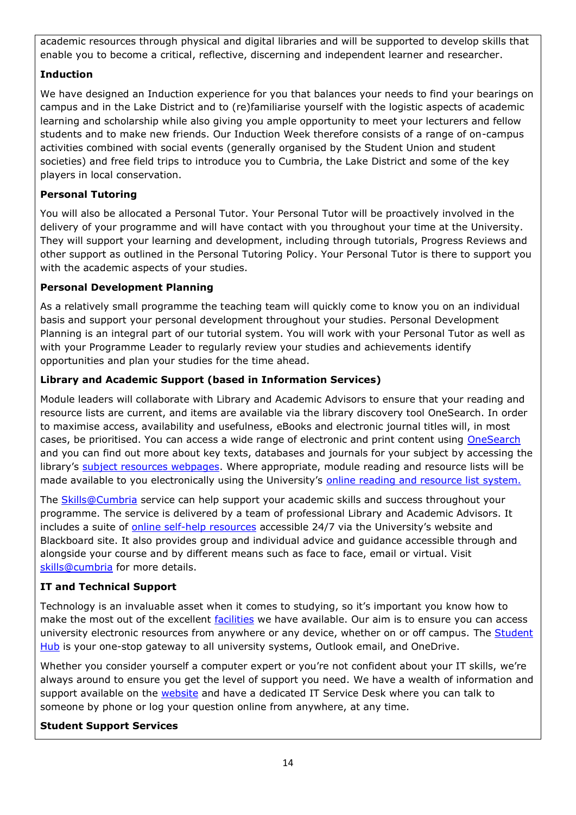academic resources through physical and digital libraries and will be supported to develop skills that enable you to become a critical, reflective, discerning and independent learner and researcher.

# **Induction**

We have designed an Induction experience for you that balances your needs to find your bearings on campus and in the Lake District and to (re)familiarise yourself with the logistic aspects of academic learning and scholarship while also giving you ample opportunity to meet your lecturers and fellow students and to make new friends. Our Induction Week therefore consists of a range of on-campus activities combined with social events (generally organised by the Student Union and student societies) and free field trips to introduce you to Cumbria, the Lake District and some of the key players in local conservation.

# **Personal Tutoring**

You will also be allocated a Personal Tutor. Your Personal Tutor will be proactively involved in the delivery of your programme and will have contact with you throughout your time at the University. They will support your learning and development, including through tutorials, Progress Reviews and other support as outlined in the Personal Tutoring Policy. Your Personal Tutor is there to support you with the academic aspects of your studies.

# **Personal Development Planning**

As a relatively small programme the teaching team will quickly come to know you on an individual basis and support your personal development throughout your studies. Personal Development Planning is an integral part of our tutorial system. You will work with your Personal Tutor as well as with your Programme Leader to regularly review your studies and achievements identify opportunities and plan your studies for the time ahead.

# **Library and Academic Support (based in Information Services)**

Module leaders will collaborate with Library and Academic Advisors to ensure that your reading and resource lists are current, and items are available via the library discovery tool OneSearch. In order to maximise access, availability and usefulness, eBooks and electronic journal titles will, in most cases, be prioritised. You can access a wide range of electronic and print content using [OneSearch](http://cumbria-primo.hosted.exlibrisgroup.com/primo_library/libweb/action/search.do?vid=44UOC_VU1) and you can find out more about key texts, databases and journals for your subject by accessing the library's [subject resources webpages.](http://my.cumbria.ac.uk/StudentLife/Learning/Resources/Subjects/Home.aspx) Where appropriate, module reading and resource lists will be made available to you electronically using the University's [online reading and resource list system.](https://eu.alma.exlibrisgroup.com/leganto/readinglist/lists)

The [Skills@Cumbria](https://my.cumbria.ac.uk/Student-Life/Learning/Skills-Cumbria/) service can help support your academic skills and success throughout your programme. The service is delivered by a team of professional Library and Academic Advisors. It includes a suite of [online self-help resources](https://my.cumbria.ac.uk/Student-Life/Learning/Skills-Cumbria/) accessible 24/7 via the University's website and Blackboard site. It also provides group and individual advice and guidance accessible through and alongside your course and by different means such as face to face, email or virtual. Visit [skills@cumbria](https://my.cumbria.ac.uk/Student-Life/Learning/Skills-Cumbria/) for more details.

# **IT and Technical Support**

Technology is an invaluable asset when it comes to studying, so it's important you know how to make the most out of the excellent [facilities](https://www.cumbria.ac.uk/student-life/facilities/it-facilities/) we have available. Our aim is to ensure you can access university electronic resources from anywhere or any device, whether on or off campus. The [Student](https://universityofcumbria.mydaycloud.com/dashboard/allsorts)  [Hub](https://universityofcumbria.mydaycloud.com/dashboard/allsorts) is your one-stop gateway to all university systems, Outlook email, and OneDrive.

Whether you consider yourself a computer expert or you're not confident about your IT skills, we're always around to ensure you get the level of support you need. We have a wealth of information and support available on the [website](https://my.cumbria.ac.uk/Student-Life/it-media/) and have a dedicated IT Service Desk where you can talk to someone by phone or log your question online from anywhere, at any time.

# **Student Support Services**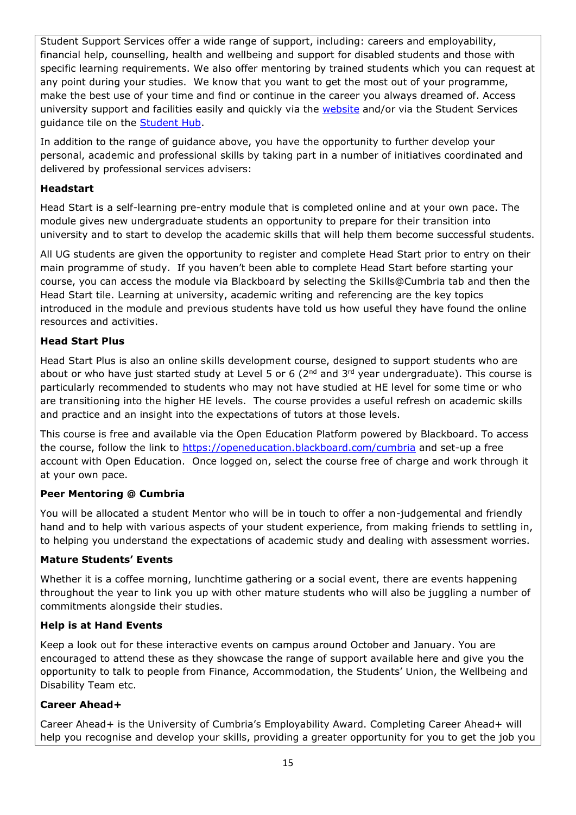Student Support Services offer a wide range of support, including: careers and employability, financial help, counselling, health and wellbeing and support for disabled students and those with specific learning requirements. We also offer mentoring by trained students which you can request at any point during your studies. We know that you want to get the most out of your programme, make the best use of your time and find or continue in the career you always dreamed of. Access university support and facilities easily and quickly via the [website](https://my.cumbria.ac.uk/) and/or via the Student Services guidance tile on the [Student Hub.](https://universityofcumbria.mydaycloud.com/dashboard/staff-home)

In addition to the range of guidance above, you have the opportunity to further develop your personal, academic and professional skills by taking part in a number of initiatives coordinated and delivered by professional services advisers:

### **Headstart**

Head Start is a self-learning pre-entry module that is completed online and at your own pace. The module gives new undergraduate students an opportunity to prepare for their transition into university and to start to develop the academic skills that will help them become successful students.

All UG students are given the opportunity to register and complete Head Start prior to entry on their main programme of study. If you haven't been able to complete Head Start before starting your course, you can access the module via Blackboard by selecting the Skills@Cumbria tab and then the Head Start tile. Learning at university, academic writing and referencing are the key topics introduced in the module and previous students have told us how useful they have found the online resources and activities.

## **Head Start Plus**

Head Start Plus is also an online skills development course, designed to support students who are about or who have just started study at Level 5 or 6 ( $2<sup>nd</sup>$  and  $3<sup>rd</sup>$  year undergraduate). This course is particularly recommended to students who may not have studied at HE level for some time or who are transitioning into the higher HE levels. The course provides a useful refresh on academic skills and practice and an insight into the expectations of tutors at those levels.

This course is free and available via the Open Education Platform powered by Blackboard. To access the course, follow the link to<https://openeducation.blackboard.com/cumbria> and set-up a free account with Open Education. Once logged on, select the course free of charge and work through it at your own pace.

#### **Peer Mentoring @ Cumbria**

You will be allocated a student Mentor who will be in touch to offer a non-judgemental and friendly hand and to help with various aspects of your student experience, from making friends to settling in, to helping you understand the expectations of academic study and dealing with assessment worries.

# **Mature Students' Events**

Whether it is a coffee morning, lunchtime gathering or a social event, there are events happening throughout the year to link you up with other mature students who will also be juggling a number of commitments alongside their studies.

#### **Help is at Hand Events**

Keep a look out for these interactive events on campus around October and January. You are encouraged to attend these as they showcase the range of support available here and give you the opportunity to talk to people from Finance, Accommodation, the Students' Union, the Wellbeing and Disability Team etc.

#### **Career Ahead+**

Career Ahead+ is the University of Cumbria's Employability Award. Completing Career Ahead+ will help you recognise and develop your skills, providing a greater opportunity for you to get the job you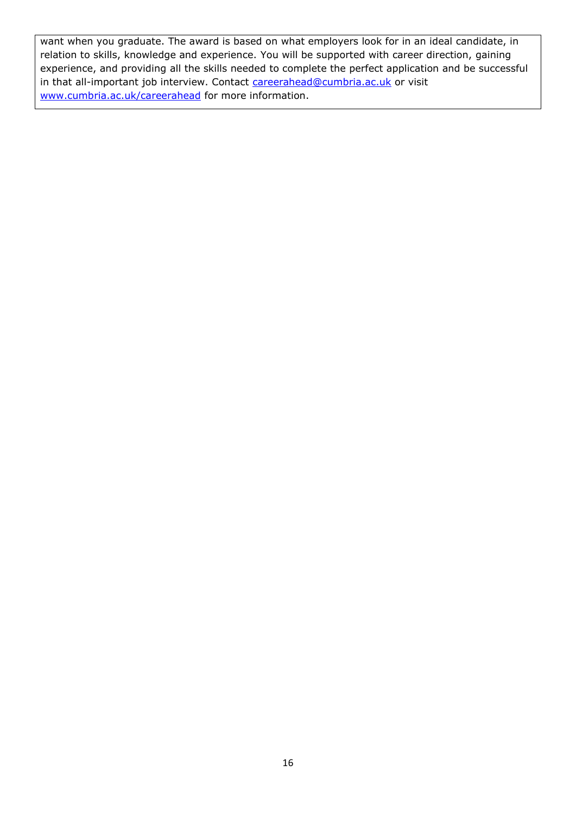want when you graduate. The award is based on what employers look for in an ideal candidate, in relation to skills, knowledge and experience. You will be supported with career direction, gaining experience, and providing all the skills needed to complete the perfect application and be successful in that all-important job interview. Contact [careerahead@cumbria.ac.uk](mailto:careerahead@cumbria.ac.uk) or visit [www.cumbria.ac.uk/careerahead](http://www.cumbria.ac.uk/careerahead) for more information.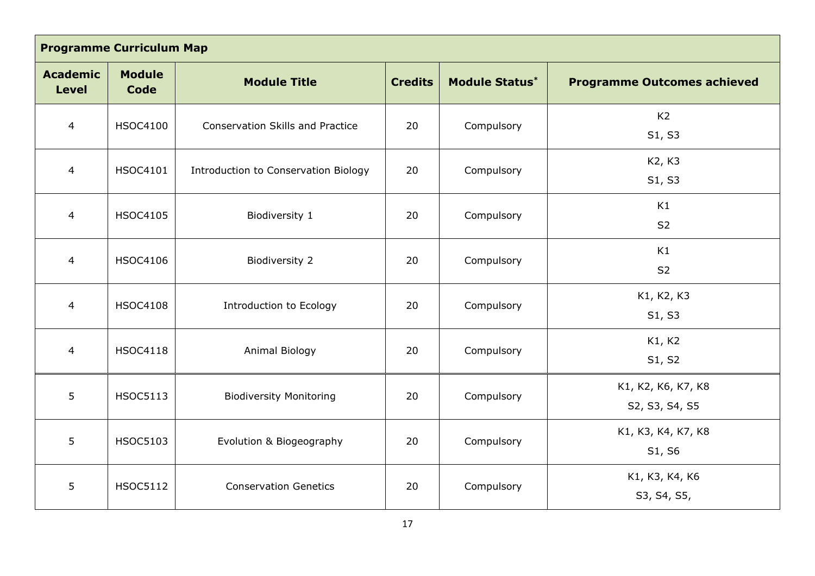| <b>Programme Curriculum Map</b> |                              |                                         |                |                       |                                      |
|---------------------------------|------------------------------|-----------------------------------------|----------------|-----------------------|--------------------------------------|
| <b>Academic</b><br><b>Level</b> | <b>Module</b><br><b>Code</b> | <b>Module Title</b>                     | <b>Credits</b> | <b>Module Status*</b> | <b>Programme Outcomes achieved</b>   |
| $\overline{4}$                  | <b>HSOC4100</b>              | <b>Conservation Skills and Practice</b> | 20             | Compulsory            | K <sub>2</sub><br>S1, S3             |
| $\overline{4}$                  | <b>HSOC4101</b>              | Introduction to Conservation Biology    | 20             | Compulsory            | K2, K3<br>S1, S3                     |
| $\overline{4}$                  | <b>HSOC4105</b>              | Biodiversity 1                          | 20             | Compulsory            | K1<br>S <sub>2</sub>                 |
| 4                               | <b>HSOC4106</b>              | <b>Biodiversity 2</b>                   | 20             | Compulsory            | K1<br>S <sub>2</sub>                 |
| $\overline{4}$                  | <b>HSOC4108</b>              | Introduction to Ecology                 | 20             | Compulsory            | K1, K2, K3<br>S1, S3                 |
| $\overline{4}$                  | <b>HSOC4118</b>              | Animal Biology                          | 20             | Compulsory            | K1, K2<br>S1, S2                     |
| $5\overline{)}$                 | <b>HSOC5113</b>              | <b>Biodiversity Monitoring</b>          | 20             | Compulsory            | K1, K2, K6, K7, K8<br>S2, S3, S4, S5 |
| 5                               | <b>HSOC5103</b>              | Evolution & Biogeography                | 20             | Compulsory            | K1, K3, K4, K7, K8<br>S1, S6         |
| $5\overline{)}$                 | <b>HSOC5112</b>              | <b>Conservation Genetics</b>            | 20             | Compulsory            | K1, K3, K4, K6<br>S3, S4, S5,        |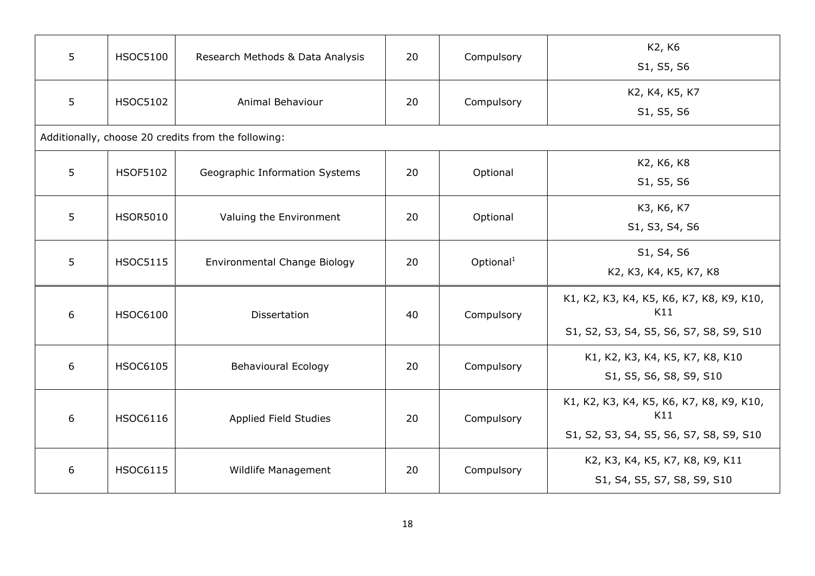| 5 | <b>HSOC5100</b> | Research Methods & Data Analysis                    | 20 | Compulsory            | K2, K6<br>S1, S5, S6                                                                       |
|---|-----------------|-----------------------------------------------------|----|-----------------------|--------------------------------------------------------------------------------------------|
| 5 | <b>HSOC5102</b> | Animal Behaviour                                    | 20 | Compulsory            | K2, K4, K5, K7<br>S1, S5, S6                                                               |
|   |                 | Additionally, choose 20 credits from the following: |    |                       |                                                                                            |
| 5 | <b>HSOF5102</b> | Geographic Information Systems                      | 20 | Optional              | K2, K6, K8<br>S1, S5, S6                                                                   |
| 5 | <b>HSOR5010</b> | Valuing the Environment                             | 20 | Optional              | K3, K6, K7<br>S1, S3, S4, S6                                                               |
| 5 | <b>HSOC5115</b> | Environmental Change Biology                        | 20 | Optional <sup>1</sup> | S1, S4, S6<br>K2, K3, K4, K5, K7, K8                                                       |
| 6 | <b>HSOC6100</b> | Dissertation                                        | 40 | Compulsory            | K1, K2, K3, K4, K5, K6, K7, K8, K9, K10,<br>K11<br>S1, S2, S3, S4, S5, S6, S7, S8, S9, S10 |
| 6 | <b>HSOC6105</b> | <b>Behavioural Ecology</b>                          | 20 | Compulsory            | K1, K2, K3, K4, K5, K7, K8, K10<br>S1, S5, S6, S8, S9, S10                                 |
| 6 | <b>HSOC6116</b> | Applied Field Studies                               | 20 | Compulsory            | K1, K2, K3, K4, K5, K6, K7, K8, K9, K10,<br>K11<br>S1, S2, S3, S4, S5, S6, S7, S8, S9, S10 |
| 6 | <b>HSOC6115</b> | Wildlife Management                                 | 20 | Compulsory            | K2, K3, K4, K5, K7, K8, K9, K11<br>S1, S4, S5, S7, S8, S9, S10                             |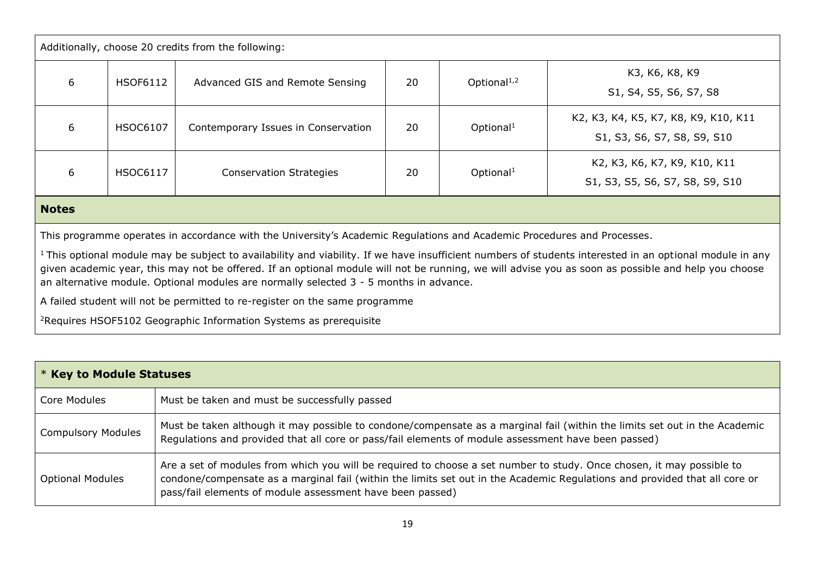| Additionally, choose 20 credits from the following: |                 |                                     |    |                         |                                                                     |
|-----------------------------------------------------|-----------------|-------------------------------------|----|-------------------------|---------------------------------------------------------------------|
| 6                                                   | <b>HSOF6112</b> | Advanced GIS and Remote Sensing     | 20 | Optional <sup>1,2</sup> | K3, K6, K8, K9<br>S1, S4, S5, S6, S7, S8                            |
| 6                                                   | <b>HSOC6107</b> | Contemporary Issues in Conservation | 20 | Optional <sup>1</sup>   | K2, K3, K4, K5, K7, K8, K9, K10, K11<br>S1, S3, S6, S7, S8, S9, S10 |
| 6                                                   | <b>HSOC6117</b> | <b>Conservation Strategies</b>      | 20 | Optional <sup>1</sup>   | K2, K3, K6, K7, K9, K10, K11<br>S1, S3, S5, S6, S7, S8, S9, S10     |
| <b>Notes</b>                                        |                 |                                     |    |                         |                                                                     |

This programme operates in accordance with the University's Academic Regulations and Academic Procedures and Processes.

<sup>1</sup>This optional module may be subject to availability and viability. If we have insufficient numbers of students interested in an optional module in any given academic year, this may not be offered. If an optional module will not be running, we will advise you as soon as possible and help you choose an alternative module. Optional modules are normally selected 3 - 5 months in advance.

A failed student will not be permitted to re-register on the same programme

<sup>2</sup>Requires HSOF5102 Geographic Information Systems as prerequisite

|                           | * Key to Module Statuses                                                                                                                                                                                                                                                                                         |  |  |
|---------------------------|------------------------------------------------------------------------------------------------------------------------------------------------------------------------------------------------------------------------------------------------------------------------------------------------------------------|--|--|
| Core Modules              | Must be taken and must be successfully passed                                                                                                                                                                                                                                                                    |  |  |
| <b>Compulsory Modules</b> | Must be taken although it may possible to condone/compensate as a marginal fail (within the limits set out in the Academic<br>Regulations and provided that all core or pass/fail elements of module assessment have been passed)                                                                                |  |  |
| <b>Optional Modules</b>   | Are a set of modules from which you will be required to choose a set number to study. Once chosen, it may possible to<br>condone/compensate as a marginal fail (within the limits set out in the Academic Regulations and provided that all core or<br>pass/fail elements of module assessment have been passed) |  |  |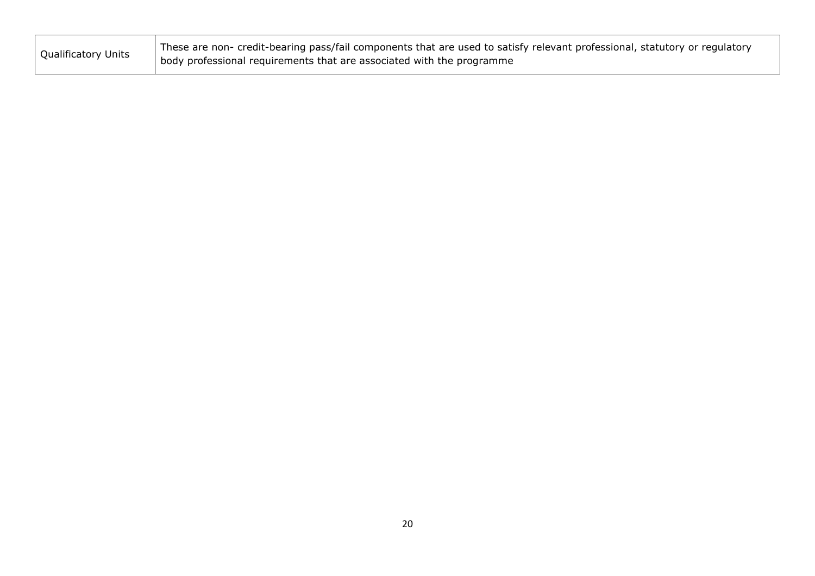| <b>Qualificatory Units</b> | These are non- credit-bearing pass/fail components that are used to satisfy relevant professional, statutory or regulatory |
|----------------------------|----------------------------------------------------------------------------------------------------------------------------|
|                            | body professional requirements that are associated with the programme                                                      |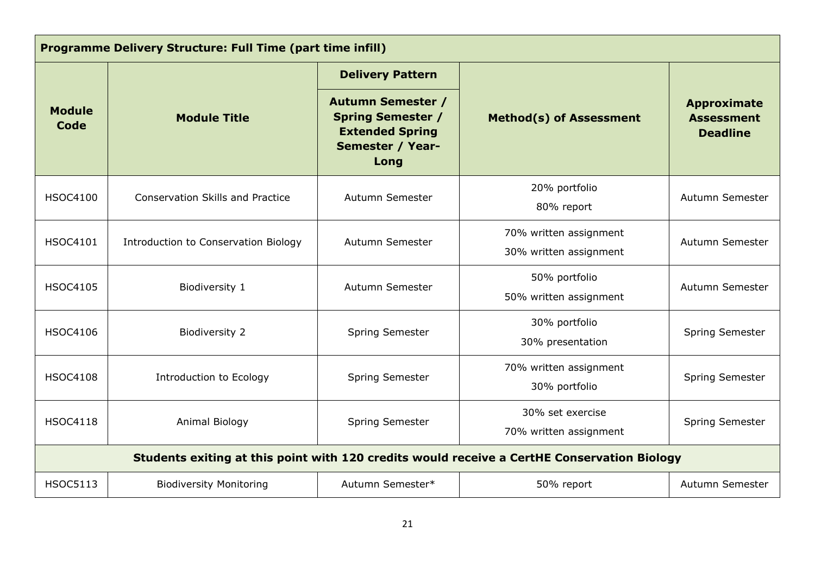| <b>Programme Delivery Structure: Full Time (part time infill)</b>                           |                                         |                                                                                                                   |                                                  |                                                            |
|---------------------------------------------------------------------------------------------|-----------------------------------------|-------------------------------------------------------------------------------------------------------------------|--------------------------------------------------|------------------------------------------------------------|
|                                                                                             |                                         | <b>Delivery Pattern</b>                                                                                           |                                                  |                                                            |
| <b>Module</b><br>Code                                                                       | <b>Module Title</b>                     | <b>Autumn Semester /</b><br><b>Spring Semester /</b><br><b>Extended Spring</b><br><b>Semester / Year-</b><br>Long | <b>Method(s) of Assessment</b>                   | <b>Approximate</b><br><b>Assessment</b><br><b>Deadline</b> |
| <b>HSOC4100</b>                                                                             | <b>Conservation Skills and Practice</b> | Autumn Semester                                                                                                   | 20% portfolio<br>80% report                      | Autumn Semester                                            |
| <b>HSOC4101</b>                                                                             | Introduction to Conservation Biology    | Autumn Semester                                                                                                   | 70% written assignment<br>30% written assignment | Autumn Semester                                            |
| <b>HSOC4105</b>                                                                             | Biodiversity 1                          | Autumn Semester                                                                                                   | 50% portfolio<br>50% written assignment          | Autumn Semester                                            |
| <b>HSOC4106</b>                                                                             | <b>Biodiversity 2</b>                   | Spring Semester                                                                                                   | 30% portfolio<br>30% presentation                | Spring Semester                                            |
| <b>HSOC4108</b>                                                                             | <b>Introduction to Ecology</b>          | Spring Semester                                                                                                   | 70% written assignment<br>30% portfolio          | Spring Semester                                            |
| <b>HSOC4118</b>                                                                             | Animal Biology                          | Spring Semester                                                                                                   | 30% set exercise<br>70% written assignment       | Spring Semester                                            |
| Students exiting at this point with 120 credits would receive a CertHE Conservation Biology |                                         |                                                                                                                   |                                                  |                                                            |
| <b>HSOC5113</b>                                                                             | <b>Biodiversity Monitoring</b>          | Autumn Semester*                                                                                                  | 50% report                                       | Autumn Semester                                            |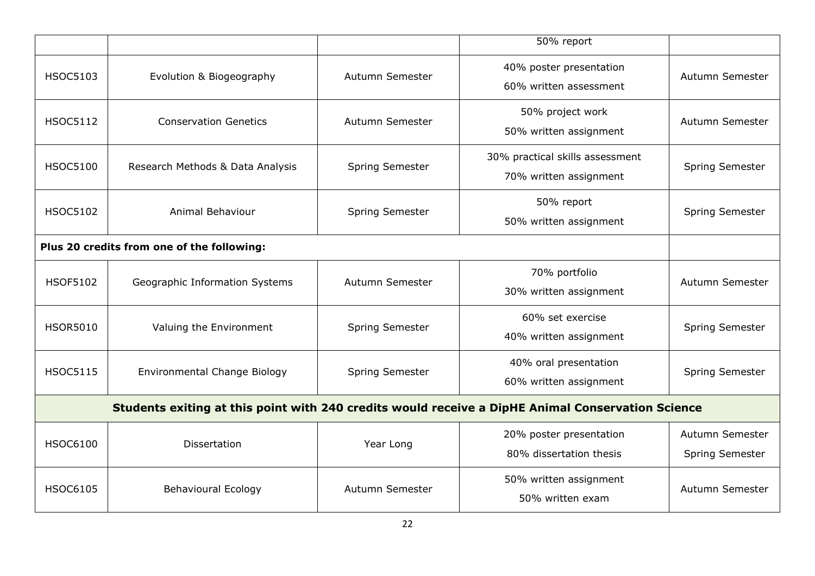|                                            |                                                                                                   |                 | 50% report                                                |                                    |  |
|--------------------------------------------|---------------------------------------------------------------------------------------------------|-----------------|-----------------------------------------------------------|------------------------------------|--|
| <b>HSOC5103</b>                            | Evolution & Biogeography                                                                          | Autumn Semester | 40% poster presentation<br>60% written assessment         | Autumn Semester                    |  |
| <b>HSOC5112</b>                            | <b>Conservation Genetics</b>                                                                      | Autumn Semester | 50% project work<br>50% written assignment                | Autumn Semester                    |  |
| <b>HSOC5100</b>                            | Research Methods & Data Analysis                                                                  | Spring Semester | 30% practical skills assessment<br>70% written assignment | Spring Semester                    |  |
| <b>HSOC5102</b>                            | Animal Behaviour                                                                                  | Spring Semester | 50% report<br>50% written assignment                      | Spring Semester                    |  |
| Plus 20 credits from one of the following: |                                                                                                   |                 |                                                           |                                    |  |
| <b>HSOF5102</b>                            | Geographic Information Systems                                                                    | Autumn Semester | 70% portfolio<br>30% written assignment                   | Autumn Semester                    |  |
| <b>HSOR5010</b>                            | Valuing the Environment                                                                           | Spring Semester | 60% set exercise<br>40% written assignment                | Spring Semester                    |  |
| <b>HSOC5115</b>                            | Environmental Change Biology                                                                      | Spring Semester | 40% oral presentation<br>60% written assignment           | Spring Semester                    |  |
|                                            | Students exiting at this point with 240 credits would receive a DipHE Animal Conservation Science |                 |                                                           |                                    |  |
| <b>HSOC6100</b>                            | <b>Dissertation</b>                                                                               | Year Long       | 20% poster presentation<br>80% dissertation thesis        | Autumn Semester<br>Spring Semester |  |
| <b>HSOC6105</b>                            | <b>Behavioural Ecology</b>                                                                        | Autumn Semester | 50% written assignment<br>50% written exam                | Autumn Semester                    |  |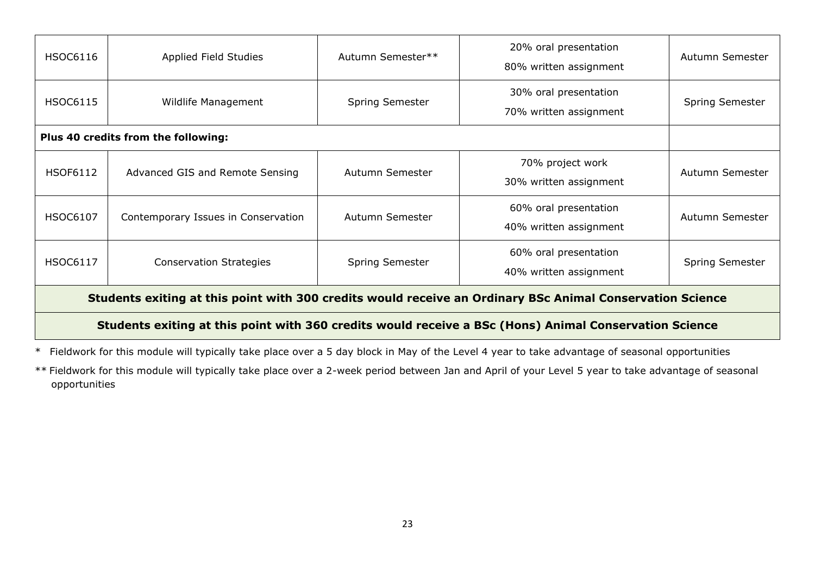| <b>HSOC6116</b>                                                                                           | Applied Field Studies               | Autumn Semester**      | 20% oral presentation<br>80% written assignment | Autumn Semester        |
|-----------------------------------------------------------------------------------------------------------|-------------------------------------|------------------------|-------------------------------------------------|------------------------|
| <b>HSOC6115</b>                                                                                           | Wildlife Management                 | Spring Semester        | 30% oral presentation<br>70% written assignment | Spring Semester        |
|                                                                                                           | Plus 40 credits from the following: |                        |                                                 |                        |
| <b>HSOF6112</b>                                                                                           | Advanced GIS and Remote Sensing     | Autumn Semester        | 70% project work<br>30% written assignment      | Autumn Semester        |
| <b>HSOC6107</b>                                                                                           | Contemporary Issues in Conservation | Autumn Semester        | 60% oral presentation<br>40% written assignment | Autumn Semester        |
| <b>HSOC6117</b>                                                                                           | <b>Conservation Strategies</b>      | <b>Spring Semester</b> | 60% oral presentation<br>40% written assignment | <b>Spring Semester</b> |
| Students exiting at this point with 300 credits would receive an Ordinary BSc Animal Conservation Science |                                     |                        |                                                 |                        |
| Students exiting at this point with 360 credits would receive a BSc (Hons) Animal Conservation Science    |                                     |                        |                                                 |                        |

\* Fieldwork for this module will typically take place over a 5 day block in May of the Level 4 year to take advantage of seasonal opportunities

\*\* Fieldwork for this module will typically take place over a 2-week period between Jan and April of your Level 5 year to take advantage of seasonal opportunities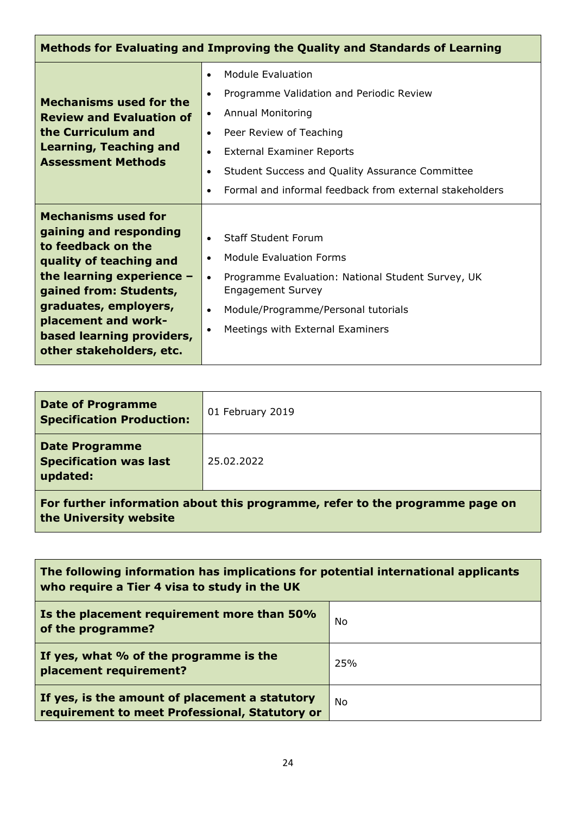| Methods for Evaluating and Improving the Quality and Standards of Learning                                                                                                                                                                                              |                                                                                                                                                                                                                                                                                                                                                                          |  |  |
|-------------------------------------------------------------------------------------------------------------------------------------------------------------------------------------------------------------------------------------------------------------------------|--------------------------------------------------------------------------------------------------------------------------------------------------------------------------------------------------------------------------------------------------------------------------------------------------------------------------------------------------------------------------|--|--|
| <b>Mechanisms used for the</b><br><b>Review and Evaluation of</b><br>the Curriculum and<br><b>Learning, Teaching and</b><br><b>Assessment Methods</b>                                                                                                                   | <b>Module Evaluation</b><br>$\bullet$<br>Programme Validation and Periodic Review<br>$\bullet$<br><b>Annual Monitoring</b><br>$\bullet$<br>Peer Review of Teaching<br>$\bullet$<br><b>External Examiner Reports</b><br>$\bullet$<br>Student Success and Quality Assurance Committee<br>$\bullet$<br>Formal and informal feedback from external stakeholders<br>$\bullet$ |  |  |
| <b>Mechanisms used for</b><br>gaining and responding<br>to feedback on the<br>quality of teaching and<br>the learning experience $-$<br>gained from: Students,<br>graduates, employers,<br>placement and work-<br>based learning providers,<br>other stakeholders, etc. | <b>Staff Student Forum</b><br>$\bullet$<br><b>Module Evaluation Forms</b><br>$\bullet$<br>Programme Evaluation: National Student Survey, UK<br>$\bullet$<br><b>Engagement Survey</b><br>Module/Programme/Personal tutorials<br>$\bullet$<br>Meetings with External Examiners<br>$\bullet$                                                                                |  |  |

| <b>Date of Programme</b><br><b>Specification Production:</b>                                           | 01 February 2019 |  |
|--------------------------------------------------------------------------------------------------------|------------------|--|
| <b>Date Programme</b><br><b>Specification was last</b><br>updated:                                     | 25.02.2022       |  |
| For further information about this programme, refer to the programme page on<br>the University website |                  |  |

| The following information has implications for potential international applicants<br>who require a Tier 4 visa to study in the UK |     |
|-----------------------------------------------------------------------------------------------------------------------------------|-----|
| Is the placement requirement more than 50%<br>of the programme?                                                                   | No  |
| If yes, what % of the programme is the<br>placement requirement?                                                                  | 25% |
| If yes, is the amount of placement a statutory<br>requirement to meet Professional, Statutory or                                  | No. |